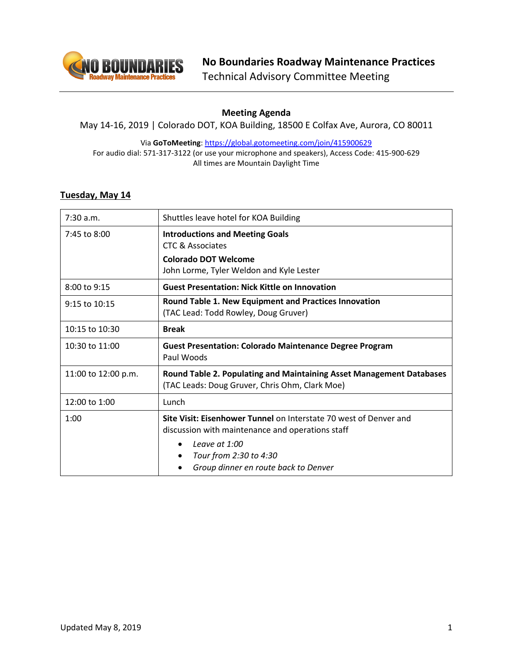

# **Meeting Agenda**

May 14-16, 2019 | Colorado DOT, KOA Building, 18500 E Colfax Ave, Aurora, CO 80011

Via **GoToMeeting**[: https://global.gotomeeting.com/join/415900629](https://global.gotomeeting.com/join/415900629) For audio dial: 571-317-3122 (or use your microphone and speakers), Access Code: 415-900-629 All times are Mountain Daylight Time

# **Tuesday, May 14**

| 7:30 a.m.           | Shuttles leave hotel for KOA Building                                                                                                                                                                                                   |
|---------------------|-----------------------------------------------------------------------------------------------------------------------------------------------------------------------------------------------------------------------------------------|
| 7:45 to 8:00        | <b>Introductions and Meeting Goals</b><br>CTC & Associates                                                                                                                                                                              |
|                     | <b>Colorado DOT Welcome</b><br>John Lorme, Tyler Weldon and Kyle Lester                                                                                                                                                                 |
| 8:00 to 9:15        | <b>Guest Presentation: Nick Kittle on Innovation</b>                                                                                                                                                                                    |
| 9:15 to 10:15       | Round Table 1. New Equipment and Practices Innovation<br>(TAC Lead: Todd Rowley, Doug Gruver)                                                                                                                                           |
| 10:15 to 10:30      | <b>Break</b>                                                                                                                                                                                                                            |
| 10:30 to 11:00      | <b>Guest Presentation: Colorado Maintenance Degree Program</b><br>Paul Woods                                                                                                                                                            |
| 11:00 to 12:00 p.m. | Round Table 2. Populating and Maintaining Asset Management Databases<br>(TAC Leads: Doug Gruver, Chris Ohm, Clark Moe)                                                                                                                  |
| 12:00 to 1:00       | Lunch                                                                                                                                                                                                                                   |
| 1:00                | Site Visit: Eisenhower Tunnel on Interstate 70 west of Denver and<br>discussion with maintenance and operations staff<br>Leave at 1:00<br>$\bullet$<br>Tour from 2:30 to 4:30<br>$\bullet$<br>Group dinner en route back to Denver<br>٠ |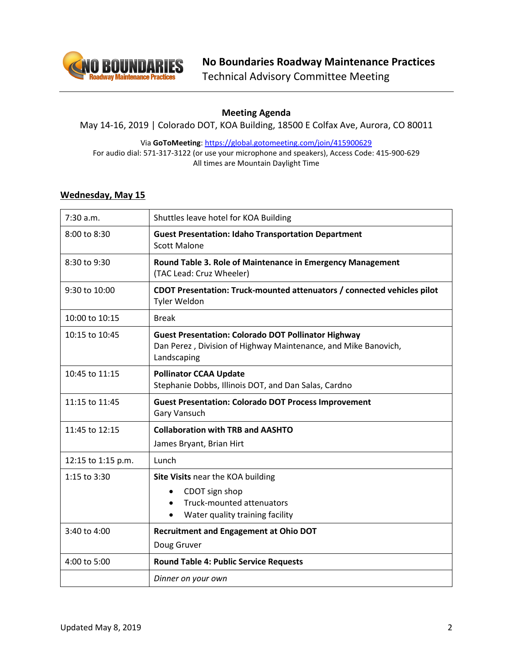

# **Meeting Agenda**

May 14-16, 2019 | Colorado DOT, KOA Building, 18500 E Colfax Ave, Aurora, CO 80011

Via **GoToMeeting**[: https://global.gotomeeting.com/join/415900629](https://global.gotomeeting.com/join/415900629) For audio dial: 571-317-3122 (or use your microphone and speakers), Access Code: 415-900-629 All times are Mountain Daylight Time

### **Wednesday, May 15**

| 7:30 a.m.          | Shuttles leave hotel for KOA Building                                                                                                       |
|--------------------|---------------------------------------------------------------------------------------------------------------------------------------------|
| 8:00 to 8:30       | <b>Guest Presentation: Idaho Transportation Department</b><br><b>Scott Malone</b>                                                           |
| 8:30 to 9:30       | Round Table 3. Role of Maintenance in Emergency Management<br>(TAC Lead: Cruz Wheeler)                                                      |
| 9:30 to 10:00      | CDOT Presentation: Truck-mounted attenuators / connected vehicles pilot<br>Tyler Weldon                                                     |
| 10:00 to 10:15     | <b>Break</b>                                                                                                                                |
| 10:15 to 10:45     | <b>Guest Presentation: Colorado DOT Pollinator Highway</b><br>Dan Perez, Division of Highway Maintenance, and Mike Banovich,<br>Landscaping |
| 10:45 to 11:15     | <b>Pollinator CCAA Update</b><br>Stephanie Dobbs, Illinois DOT, and Dan Salas, Cardno                                                       |
| 11:15 to 11:45     | <b>Guest Presentation: Colorado DOT Process Improvement</b><br><b>Gary Vansuch</b>                                                          |
| 11:45 to 12:15     | <b>Collaboration with TRB and AASHTO</b><br>James Bryant, Brian Hirt                                                                        |
| 12:15 to 1:15 p.m. | Lunch                                                                                                                                       |
| 1:15 to 3:30       | Site Visits near the KOA building<br>CDOT sign shop<br>Truck-mounted attenuators<br>$\bullet$<br>Water quality training facility            |
| 3:40 to 4:00       | <b>Recruitment and Engagement at Ohio DOT</b><br>Doug Gruver                                                                                |
| 4:00 to 5:00       | <b>Round Table 4: Public Service Requests</b>                                                                                               |
|                    | Dinner on your own                                                                                                                          |